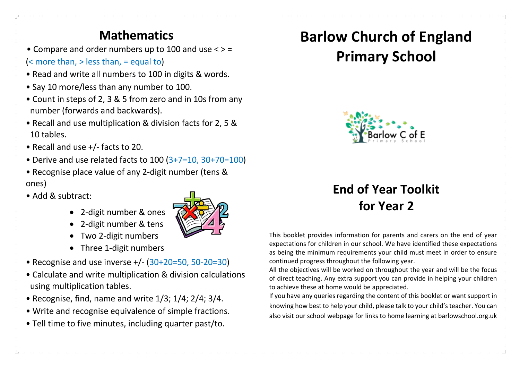### **Mathematics**

• Compare and order numbers up to 100 and use < > =

#### (< more than, > less than, = equal to)

- Read and write all numbers to 100 in digits & words.
- Say 10 more/less than any number to 100.
- Count in steps of 2, 3 & 5 from zero and in 10s from any number (forwards and backwards).
- Recall and use multiplication & division facts for 2, 5 & 10 tables.
- Recall and use +/- facts to 20.
- Derive and use related facts to 100 (3+7=10, 30+70=100)
- Recognise place value of any 2-digit number (tens & ones)
- Add & subtract:

 $\Box$ 

- 2-digit number & ones
- 2-digit number & tens
- Two 2-digit numbers
- Three 1-digit numbers
- Recognise and use inverse +/- (30+20=50, 50-20=30)
- Calculate and write multiplication & division calculations using multiplication tables.
- Recognise, find, name and write 1/3; 1/4; 2/4; 3/4.
- Write and recognise equivalence of simple fractions.
- Tell time to five minutes, including quarter past/to.



# **Barlow Church of England Primary School**



# **End of Year Toolkit for Year 2**

This booklet provides information for parents and carers on the end of year expectations for children in our school. We have identified these expectations as being the minimum requirements your child must meet in order to ensure continued progress throughout the following year.

All the objectives will be worked on throughout the year and will be the focus of direct teaching. Any extra support you can provide in helping your children to achieve these at home would be appreciated.

If you have any queries regarding the content of this booklet or want support in knowing how best to help your child, please talk to your child's teacher. You can also visit our school webpage for links to home learning at barlowschool.org.uk